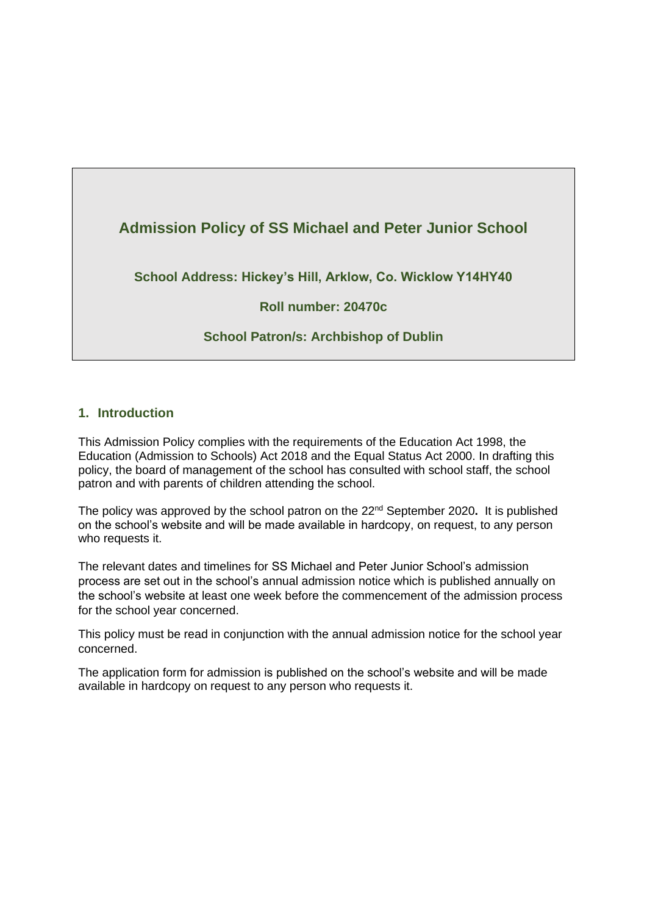

**School Address: Hickey's Hill, Arklow, Co. Wicklow Y14HY40**

## **Roll number: 20470c**

## **School Patron/s: Archbishop of Dublin**

### **1. Introduction**

This Admission Policy complies with the requirements of the Education Act 1998, the Education (Admission to Schools) Act 2018 and the Equal Status Act 2000. In drafting this policy, the board of management of the school has consulted with school staff, the school patron and with parents of children attending the school.

The policy was approved by the school patron on the 22nd September 2020**.** It is published on the school's website and will be made available in hardcopy, on request, to any person who requests it.

The relevant dates and timelines for SS Michael and Peter Junior School's admission process are set out in the school's annual admission notice which is published annually on the school's website at least one week before the commencement of the admission process for the school year concerned.

This policy must be read in conjunction with the annual admission notice for the school year concerned.

The application form for admission is published on the school's website and will be made available in hardcopy on request to any person who requests it.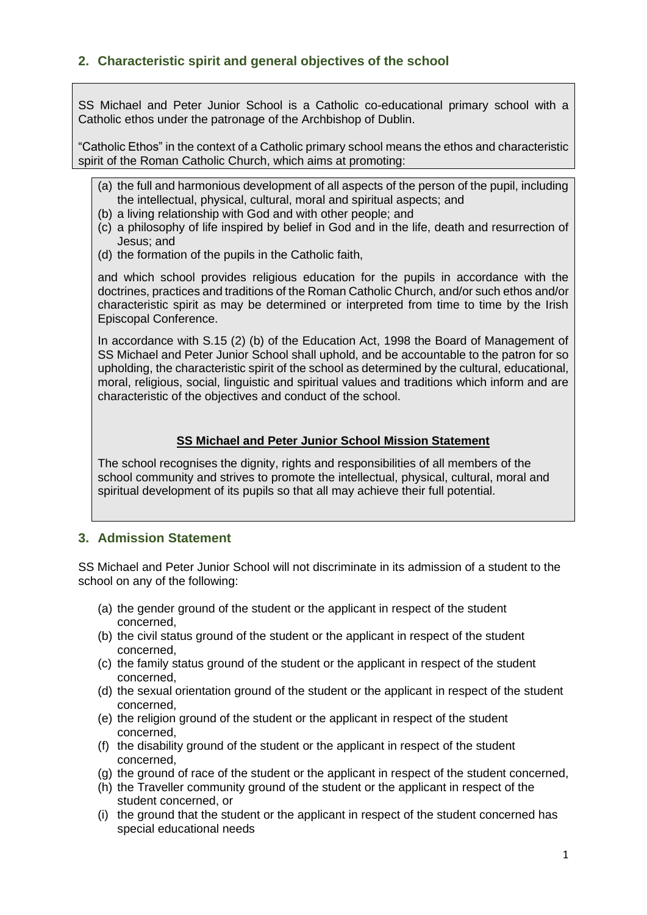# **2. Characteristic spirit and general objectives of the school**

SS Michael and Peter Junior School is a Catholic co-educational primary school with a Catholic ethos under the patronage of the Archbishop of Dublin.

"Catholic Ethos" in the context of a Catholic primary school means the ethos and characteristic spirit of the Roman Catholic Church, which aims at promoting:

- (a) the full and harmonious development of all aspects of the person of the pupil, including the intellectual, physical, cultural, moral and spiritual aspects; and
- (b) a living relationship with God and with other people; and
- (c) a philosophy of life inspired by belief in God and in the life, death and resurrection of Jesus; and
- (d) the formation of the pupils in the Catholic faith,

and which school provides religious education for the pupils in accordance with the doctrines, practices and traditions of the Roman Catholic Church, and/or such ethos and/or characteristic spirit as may be determined or interpreted from time to time by the Irish Episcopal Conference.

In accordance with S.15 (2) (b) of the Education Act, 1998 the Board of Management of SS Michael and Peter Junior School shall uphold, and be accountable to the patron for so upholding, the characteristic spirit of the school as determined by the cultural, educational, moral, religious, social, linguistic and spiritual values and traditions which inform and are characteristic of the objectives and conduct of the school.

#### **SS Michael and Peter Junior School Mission Statement**

The school recognises the dignity, rights and responsibilities of all members of the school community and strives to promote the intellectual, physical, cultural, moral and spiritual development of its pupils so that all may achieve their full potential.

### **3. Admission Statement**

SS Michael and Peter Junior School will not discriminate in its admission of a student to the school on any of the following:

- (a) the gender ground of the student or the applicant in respect of the student concerned,
- (b) the civil status ground of the student or the applicant in respect of the student concerned,
- (c) the family status ground of the student or the applicant in respect of the student concerned,
- (d) the sexual orientation ground of the student or the applicant in respect of the student concerned,
- (e) the religion ground of the student or the applicant in respect of the student concerned,
- (f) the disability ground of the student or the applicant in respect of the student concerned,
- (g) the ground of race of the student or the applicant in respect of the student concerned,
- (h) the Traveller community ground of the student or the applicant in respect of the student concerned, or
- (i) the ground that the student or the applicant in respect of the student concerned has special educational needs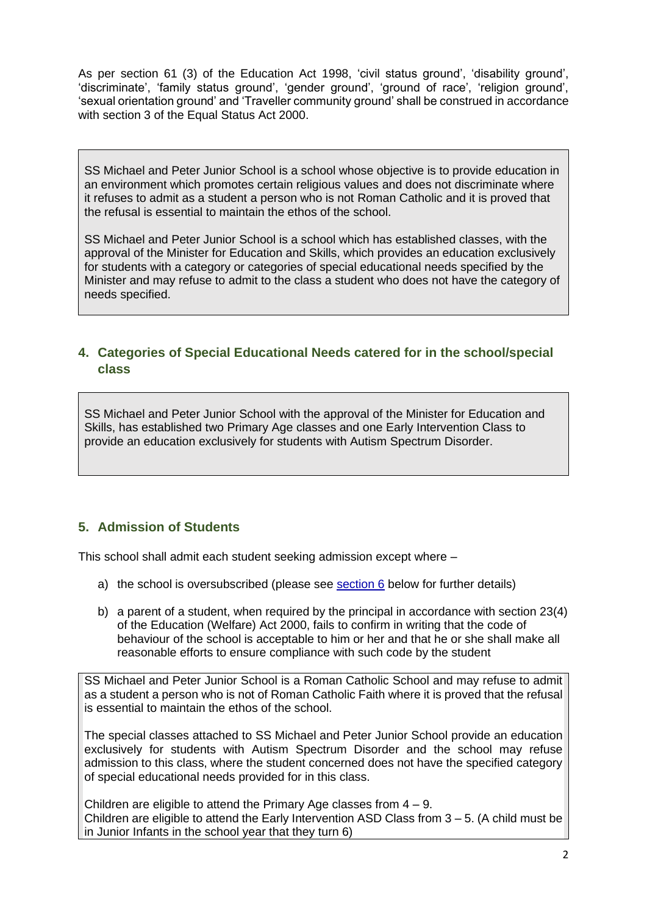As per section 61 (3) of the Education Act 1998, 'civil status ground', 'disability ground', 'discriminate', 'family status ground', 'gender ground', 'ground of race', 'religion ground', 'sexual orientation ground' and 'Traveller community ground' shall be construed in accordance with section 3 of the Equal Status Act 2000.

SS Michael and Peter Junior School is a school whose objective is to provide education in an environment which promotes certain religious values and does not discriminate where it refuses to admit as a student a person who is not Roman Catholic and it is proved that the refusal is essential to maintain the ethos of the school.

SS Michael and Peter Junior School is a school which has established classes, with the approval of the Minister for Education and Skills, which provides an education exclusively for students with a category or categories of special educational needs specified by the Minister and may refuse to admit to the class a student who does not have the category of needs specified.

#### **4. Categories of Special Educational Needs catered for in the school/special class**

SS Michael and Peter Junior School with the approval of the Minister for Education and Skills, has established two Primary Age classes and one Early Intervention Class to provide an education exclusively for students with Autism Spectrum Disorder.

### **5. Admission of Students**

This school shall admit each student seeking admission except where –

- a) the school is oversubscribed (please see [section 6](#page-3-0) below for further details)
- b) a parent of a student, when required by the principal in accordance with section 23(4) of the Education (Welfare) Act 2000, fails to confirm in writing that the code of behaviour of the school is acceptable to him or her and that he or she shall make all reasonable efforts to ensure compliance with such code by the student

SS Michael and Peter Junior School is a Roman Catholic School and may refuse to admit as a student a person who is not of Roman Catholic Faith where it is proved that the refusal is essential to maintain the ethos of the school.

The special classes attached to SS Michael and Peter Junior School provide an education exclusively for students with Autism Spectrum Disorder and the school may refuse admission to this class, where the student concerned does not have the specified category of special educational needs provided for in this class.

Children are eligible to attend the Primary Age classes from  $4 - 9$ . Children are eligible to attend the Early Intervention ASD Class from  $3 - 5$ . (A child must be in Junior Infants in the school year that they turn 6)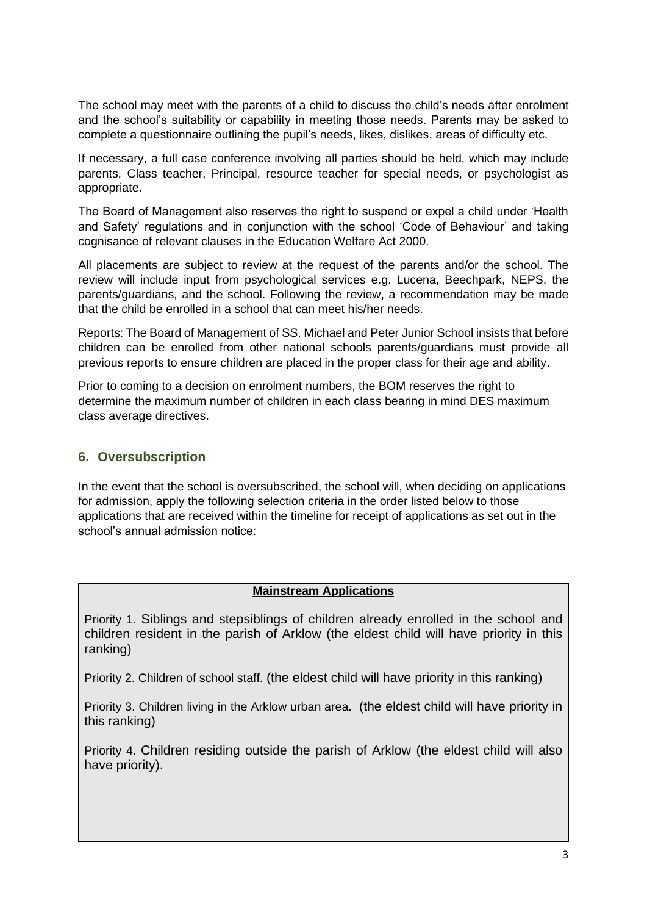The school may meet with the parents of a child to discuss the child's needs after enrolment and the school's suitability or capability in meeting those needs. Parents may be asked to complete a questionnaire outlining the pupil's needs, likes, dislikes, areas of difficulty etc.

If necessary, a full case conference involving all parties should be held, which may include parents, Class teacher, Principal, resource teacher for special needs, or psychologist as appropriate.

The Board of Management also reserves the right to suspend or expel a child under 'Health and Safety' regulations and in conjunction with the school 'Code of Behaviour' and taking cognisance of relevant clauses in the Education Welfare Act 2000.

All placements are subject to review at the request of the parents and/or the school. The review will include input from psychological services e.g. Lucena, Beechpark, NEPS, the parents/guardians, and the school. Following the review, a recommendation may be made that the child be enrolled in a school that can meet his/her needs.

Reports: The Board of Management of SS. Michael and Peter Junior School insists that before children can be enrolled from other national schools parents/guardians must provide all previous reports to ensure children are placed in the proper class for their age and ability.

Prior to coming to a decision on enrolment numbers, the BOM reserves the right to determine the maximum number of children in each class bearing in mind DES maximum class average directives.

## <span id="page-3-0"></span>**6. Oversubscription**

In the event that the school is oversubscribed, the school will, when deciding on applications for admission, apply the following selection criteria in the order listed below to those applications that are received within the timeline for receipt of applications as set out in the school's annual admission notice:

#### **Mainstream Applications**

Priority 1. Siblings and stepsiblings of children already enrolled in the school and children resident in the parish of Arklow (the eldest child will have priority in this ranking)

Priority 2. Children of school staff. (the eldest child will have priority in this ranking)

Priority 3. Children living in the Arklow urban area. (the eldest child will have priority in this ranking)

Priority 4. Children residing outside the parish of Arklow (the eldest child will also have priority).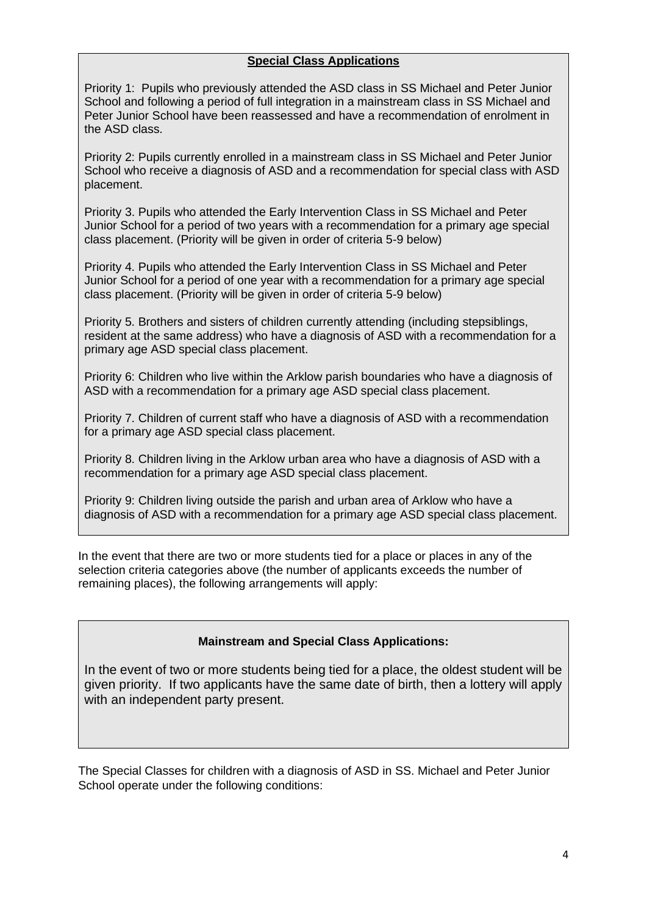#### **Special Class Applications**

Priority 1: Pupils who previously attended the ASD class in SS Michael and Peter Junior School and following a period of full integration in a mainstream class in SS Michael and Peter Junior School have been reassessed and have a recommendation of enrolment in the ASD class.

Priority 2: Pupils currently enrolled in a mainstream class in SS Michael and Peter Junior School who receive a diagnosis of ASD and a recommendation for special class with ASD placement.

Priority 3. Pupils who attended the Early Intervention Class in SS Michael and Peter Junior School for a period of two years with a recommendation for a primary age special class placement. (Priority will be given in order of criteria 5-9 below)

Priority 4. Pupils who attended the Early Intervention Class in SS Michael and Peter Junior School for a period of one year with a recommendation for a primary age special class placement. (Priority will be given in order of criteria 5-9 below)

Priority 5. Brothers and sisters of children currently attending (including stepsiblings, resident at the same address) who have a diagnosis of ASD with a recommendation for a primary age ASD special class placement.

Priority 6: Children who live within the Arklow parish boundaries who have a diagnosis of ASD with a recommendation for a primary age ASD special class placement.

Priority 7. Children of current staff who have a diagnosis of ASD with a recommendation for a primary age ASD special class placement.

Priority 8. Children living in the Arklow urban area who have a diagnosis of ASD with a recommendation for a primary age ASD special class placement.

Priority 9: Children living outside the parish and urban area of Arklow who have a diagnosis of ASD with a recommendation for a primary age ASD special class placement.

In the event that there are two or more students tied for a place or places in any of the selection criteria categories above (the number of applicants exceeds the number of remaining places), the following arrangements will apply:

#### **Mainstream and Special Class Applications:**

In the event of two or more students being tied for a place, the oldest student will be given priority. If two applicants have the same date of birth, then a lottery will apply with an independent party present.

The Special Classes for children with a diagnosis of ASD in SS. Michael and Peter Junior School operate under the following conditions: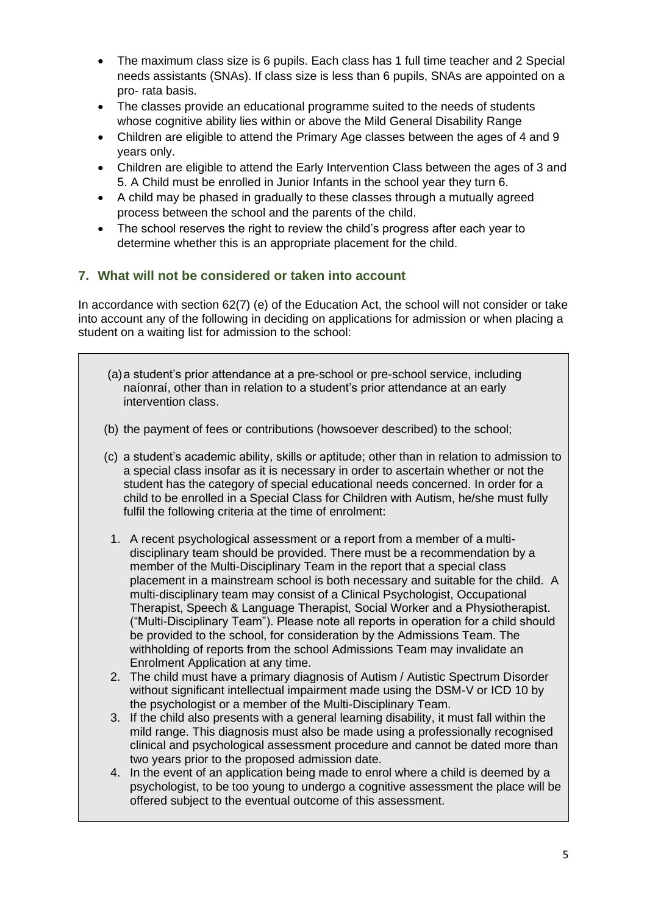- The maximum class size is 6 pupils. Each class has 1 full time teacher and 2 Special needs assistants (SNAs). If class size is less than 6 pupils, SNAs are appointed on a pro- rata basis.
- The classes provide an educational programme suited to the needs of students whose cognitive ability lies within or above the Mild General Disability Range
- Children are eligible to attend the Primary Age classes between the ages of 4 and 9 years only.
- Children are eligible to attend the Early Intervention Class between the ages of 3 and 5. A Child must be enrolled in Junior Infants in the school year they turn 6.
- A child may be phased in gradually to these classes through a mutually agreed process between the school and the parents of the child.
- The school reserves the right to review the child's progress after each year to determine whether this is an appropriate placement for the child.

## **7. What will not be considered or taken into account**

In accordance with section 62(7) (e) of the Education Act, the school will not consider or take into account any of the following in deciding on applications for admission or when placing a student on a waiting list for admission to the school:

- (a)a student's prior attendance at a pre-school or pre-school service, including naíonraí, other than in relation to a student's prior attendance at an early intervention class.
- (b) the payment of fees or contributions (howsoever described) to the school;
- (c) a student's academic ability, skills or aptitude; other than in relation to admission to a special class insofar as it is necessary in order to ascertain whether or not the student has the category of special educational needs concerned. In order for a child to be enrolled in a Special Class for Children with Autism, he/she must fully fulfil the following criteria at the time of enrolment:
	- 1. A recent psychological assessment or a report from a member of a multidisciplinary team should be provided. There must be a recommendation by a member of the Multi-Disciplinary Team in the report that a special class placement in a mainstream school is both necessary and suitable for the child. A multi-disciplinary team may consist of a Clinical Psychologist, Occupational Therapist, Speech & Language Therapist, Social Worker and a Physiotherapist. ("Multi-Disciplinary Team"). Please note all reports in operation for a child should be provided to the school, for consideration by the Admissions Team. The withholding of reports from the school Admissions Team may invalidate an Enrolment Application at any time.
	- 2. The child must have a primary diagnosis of Autism / Autistic Spectrum Disorder without significant intellectual impairment made using the DSM-V or ICD 10 by the psychologist or a member of the Multi-Disciplinary Team.
	- 3. If the child also presents with a general learning disability, it must fall within the mild range. This diagnosis must also be made using a professionally recognised clinical and psychological assessment procedure and cannot be dated more than two years prior to the proposed admission date.
	- 4. In the event of an application being made to enrol where a child is deemed by a psychologist, to be too young to undergo a cognitive assessment the place will be offered subject to the eventual outcome of this assessment.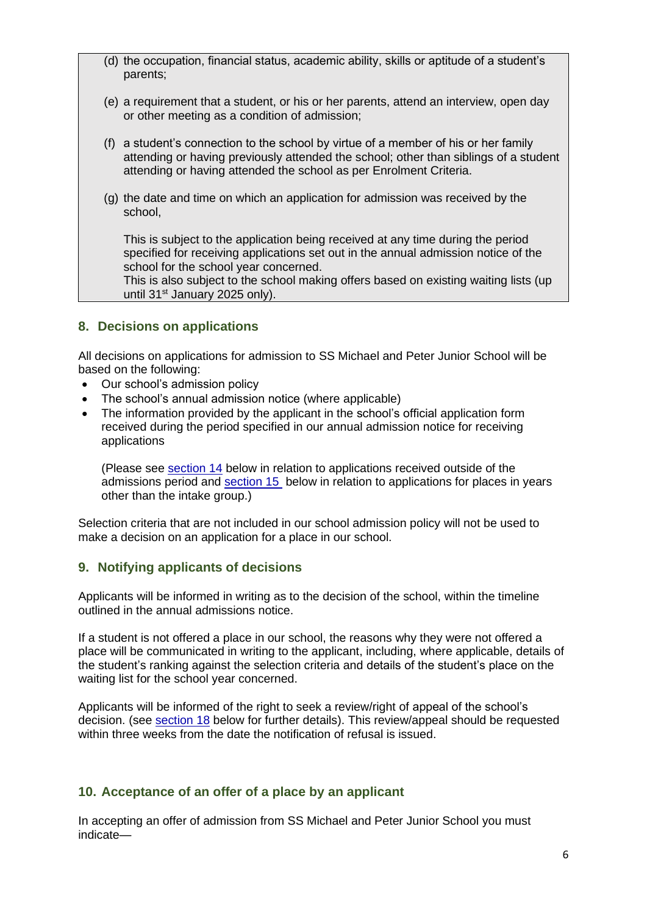- (d) the occupation, financial status, academic ability, skills or aptitude of a student's parents;
- (e) a requirement that a student, or his or her parents, attend an interview, open day or other meeting as a condition of admission;
- (f) a student's connection to the school by virtue of a member of his or her family attending or having previously attended the school; other than siblings of a student attending or having attended the school as per Enrolment Criteria.
- (g) the date and time on which an application for admission was received by the school,

This is subject to the application being received at any time during the period specified for receiving applications set out in the annual admission notice of the school for the school year concerned.

This is also subject to the school making offers based on existing waiting lists (up until 31<sup>st</sup> January 2025 only).

### **8. Decisions on applications**

All decisions on applications for admission to SS Michael and Peter Junior School will be based on the following:

- Our school's admission policy
- The school's annual admission notice (where applicable)
- The information provided by the applicant in the school's official application form received during the period specified in our annual admission notice for receiving applications

(Please see [section 14](#page-8-0) below in relation to applications received outside of the admissions period and [section 15](#page-9-0) below in relation to applications for places in years other than the intake group.)

Selection criteria that are not included in our school admission policy will not be used to make a decision on an application for a place in our school.

### **9. Notifying applicants of decisions**

Applicants will be informed in writing as to the decision of the school, within the timeline outlined in the annual admissions notice.

If a student is not offered a place in our school, the reasons why they were not offered a place will be communicated in writing to the applicant, including, where applicable, details of the student's ranking against the selection criteria and details of the student's place on the waiting list for the school year concerned.

Applicants will be informed of the right to seek a review/right of appeal of the school's decision. (see [section 18](#page-9-1) below for further details). This review/appeal should be requested within three weeks from the date the notification of refusal is issued.

#### <span id="page-6-0"></span>**10. Acceptance of an offer of a place by an applicant**

In accepting an offer of admission from SS Michael and Peter Junior School you must indicate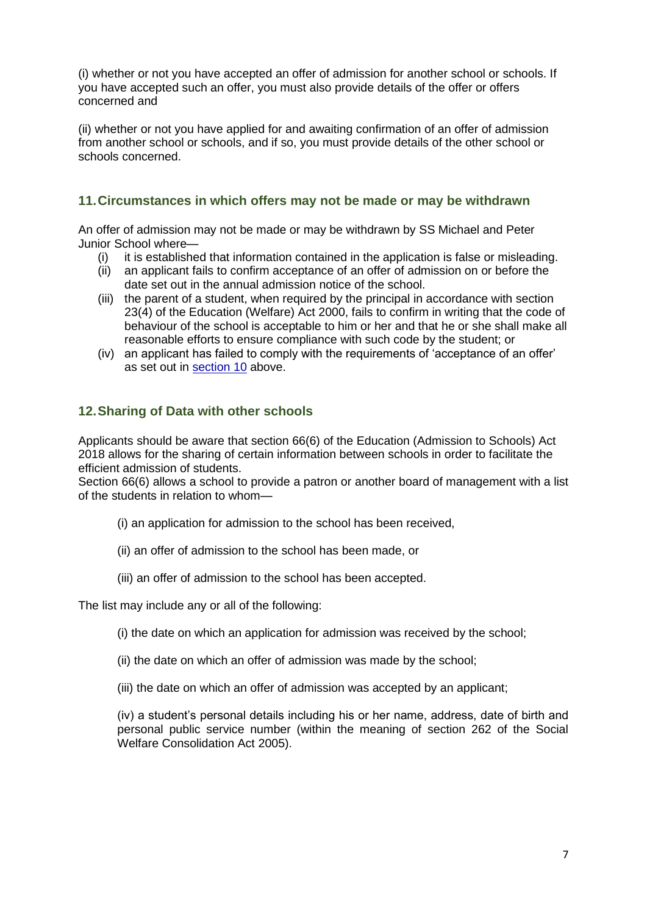(i) whether or not you have accepted an offer of admission for another school or schools. If you have accepted such an offer, you must also provide details of the offer or offers concerned and

(ii) whether or not you have applied for and awaiting confirmation of an offer of admission from another school or schools, and if so, you must provide details of the other school or schools concerned.

## **11.Circumstances in which offers may not be made or may be withdrawn**

An offer of admission may not be made or may be withdrawn by SS Michael and Peter Junior School where—

- (i) it is established that information contained in the application is false or misleading.
- (ii) an applicant fails to confirm acceptance of an offer of admission on or before the date set out in the annual admission notice of the school.
- (iii) the parent of a student, when required by the principal in accordance with section 23(4) of the Education (Welfare) Act 2000, fails to confirm in writing that the code of behaviour of the school is acceptable to him or her and that he or she shall make all reasonable efforts to ensure compliance with such code by the student; or
- (iv) an applicant has failed to comply with the requirements of 'acceptance of an offer' as set out in [section 10](#page-6-0) above.

### **12.Sharing of Data with other schools**

Applicants should be aware that section 66(6) of the Education (Admission to Schools) Act 2018 allows for the sharing of certain information between schools in order to facilitate the efficient admission of students.

Section 66(6) allows a school to provide a patron or another board of management with a list of the students in relation to whom—

- (i) an application for admission to the school has been received,
- (ii) an offer of admission to the school has been made, or
- (iii) an offer of admission to the school has been accepted.

The list may include any or all of the following:

(i) the date on which an application for admission was received by the school;

- (ii) the date on which an offer of admission was made by the school;
- (iii) the date on which an offer of admission was accepted by an applicant;

(iv) a student's personal details including his or her name, address, date of birth and personal public service number (within the meaning of section 262 of the Social Welfare Consolidation Act 2005).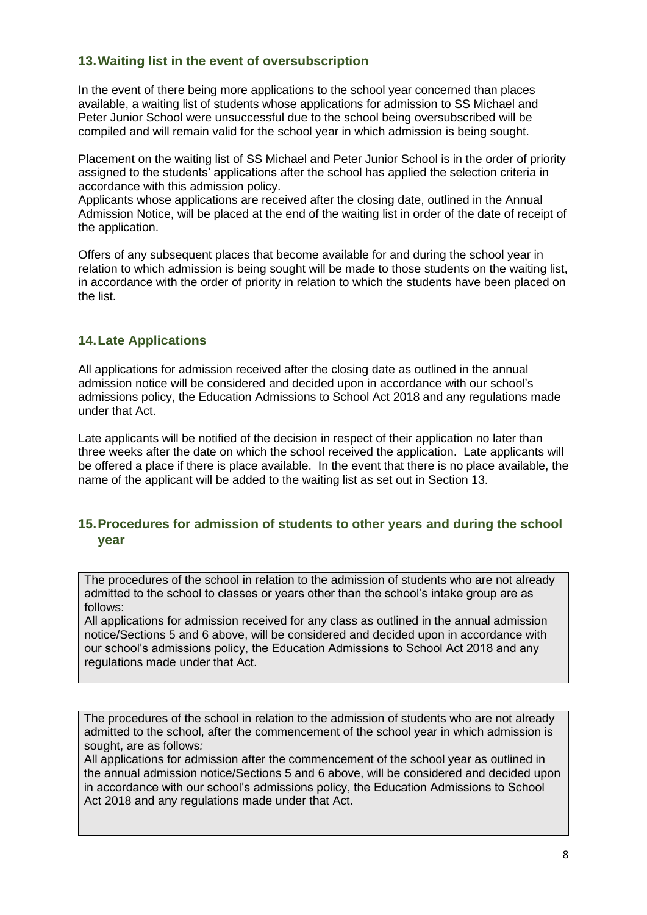## **13.Waiting list in the event of oversubscription**

In the event of there being more applications to the school year concerned than places available, a waiting list of students whose applications for admission to SS Michael and Peter Junior School were unsuccessful due to the school being oversubscribed will be compiled and will remain valid for the school year in which admission is being sought.

Placement on the waiting list of SS Michael and Peter Junior School is in the order of priority assigned to the students' applications after the school has applied the selection criteria in accordance with this admission policy.

Applicants whose applications are received after the closing date, outlined in the Annual Admission Notice, will be placed at the end of the waiting list in order of the date of receipt of the application.

Offers of any subsequent places that become available for and during the school year in relation to which admission is being sought will be made to those students on the waiting list, in accordance with the order of priority in relation to which the students have been placed on the list.

### **14.Late Applications**

All applications for admission received after the closing date as outlined in the annual admission notice will be considered and decided upon in accordance with our school's admissions policy, the Education Admissions to School Act 2018 and any regulations made under that Act.

Late applicants will be notified of the decision in respect of their application no later than three weeks after the date on which the school received the application. Late applicants will be offered a place if there is place available. In the event that there is no place available, the name of the applicant will be added to the waiting list as set out in Section 13.

## <span id="page-8-0"></span>**15.Procedures for admission of students to other years and during the school year**

The procedures of the school in relation to the admission of students who are not already admitted to the school to classes or years other than the school's intake group are as follows:

All applications for admission received for any class as outlined in the annual admission notice/Sections 5 and 6 above, will be considered and decided upon in accordance with our school's admissions policy, the Education Admissions to School Act 2018 and any regulations made under that Act.

The procedures of the school in relation to the admission of students who are not already admitted to the school, after the commencement of the school year in which admission is sought, are as follows*:* 

All applications for admission after the commencement of the school year as outlined in the annual admission notice/Sections 5 and 6 above, will be considered and decided upon in accordance with our school's admissions policy, the Education Admissions to School Act 2018 and any regulations made under that Act.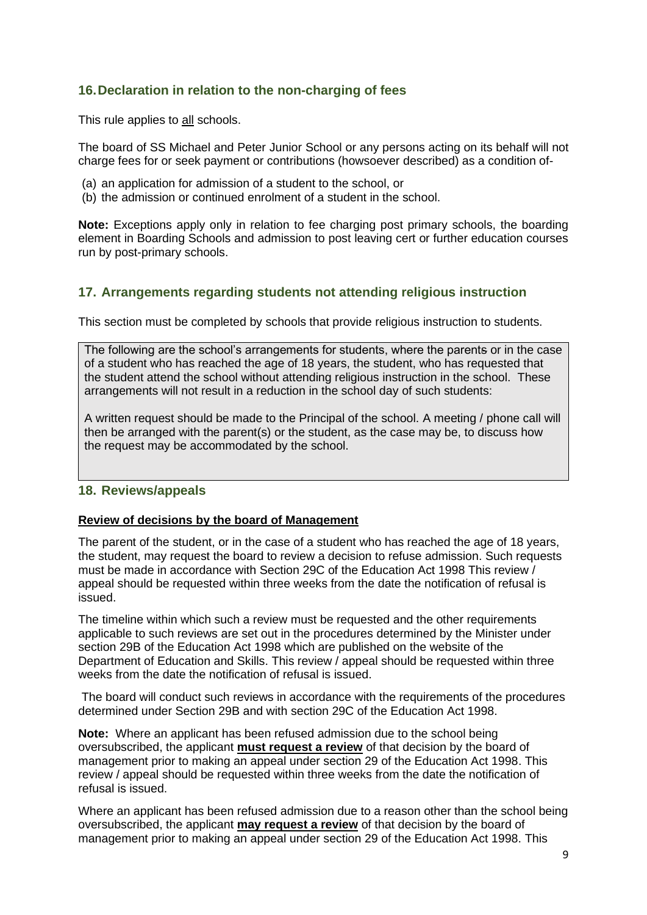## <span id="page-9-0"></span>**16.Declaration in relation to the non-charging of fees**

This rule applies to all schools.

The board of SS Michael and Peter Junior School or any persons acting on its behalf will not charge fees for or seek payment or contributions (howsoever described) as a condition of-

- (a) an application for admission of a student to the school, or
- (b) the admission or continued enrolment of a student in the school.

**Note:** Exceptions apply only in relation to fee charging post primary schools, the boarding element in Boarding Schools and admission to post leaving cert or further education courses run by post-primary schools.

#### **17. Arrangements regarding students not attending religious instruction**

This section must be completed by schools that provide religious instruction to students.

The following are the school's arrangements for students, where the parents or in the case of a student who has reached the age of 18 years, the student, who has requested that the student attend the school without attending religious instruction in the school. These arrangements will not result in a reduction in the school day of such students:

A written request should be made to the Principal of the school. A meeting / phone call will then be arranged with the parent(s) or the student, as the case may be, to discuss how the request may be accommodated by the school.

#### <span id="page-9-1"></span>**18. Reviews/appeals**

#### **Review of decisions by the board of Management**

The parent of the student, or in the case of a student who has reached the age of 18 years, the student, may request the board to review a decision to refuse admission. Such requests must be made in accordance with Section 29C of the Education Act 1998 This review / appeal should be requested within three weeks from the date the notification of refusal is issued.

The timeline within which such a review must be requested and the other requirements applicable to such reviews are set out in the procedures determined by the Minister under section 29B of the Education Act 1998 which are published on the website of the Department of Education and Skills. This review / appeal should be requested within three weeks from the date the notification of refusal is issued.

The board will conduct such reviews in accordance with the requirements of the procedures determined under Section 29B and with section 29C of the Education Act 1998.

**Note:** Where an applicant has been refused admission due to the school being oversubscribed, the applicant **must request a review** of that decision by the board of management prior to making an appeal under section 29 of the Education Act 1998. This review / appeal should be requested within three weeks from the date the notification of refusal is issued.

Where an applicant has been refused admission due to a reason other than the school being oversubscribed, the applicant **may request a review** of that decision by the board of management prior to making an appeal under section 29 of the Education Act 1998. This